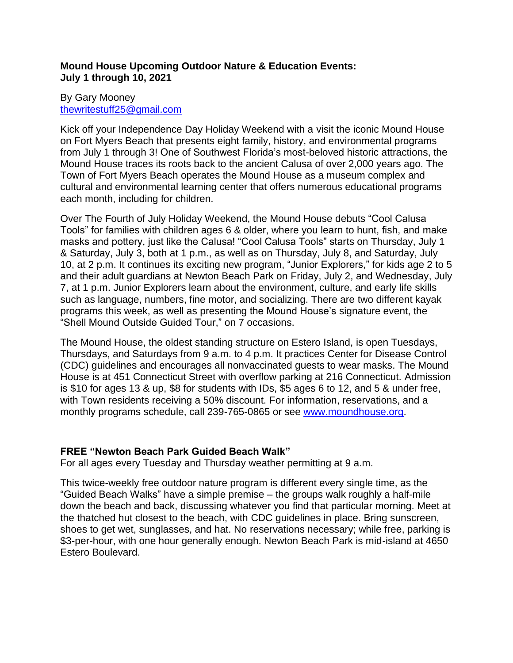# **Mound House Upcoming Outdoor Nature & Education Events: July 1 through 10, 2021**

# By Gary Mooney [thewritestuff25@gmail.com](mailto:thewritestuff25@gmail.com)

Kick off your Independence Day Holiday Weekend with a visit the iconic Mound House on Fort Myers Beach that presents eight family, history, and environmental programs from July 1 through 3! One of Southwest Florida's most-beloved historic attractions, the Mound House traces its roots back to the ancient Calusa of over 2,000 years ago. The Town of Fort Myers Beach operates the Mound House as a museum complex and cultural and environmental learning center that offers numerous educational programs each month, including for children.

Over The Fourth of July Holiday Weekend, the Mound House debuts "Cool Calusa Tools" for families with children ages 6 & older, where you learn to hunt, fish, and make masks and pottery, just like the Calusa! "Cool Calusa Tools" starts on Thursday, July 1 & Saturday, July 3, both at 1 p.m., as well as on Thursday, July 8, and Saturday, July 10, at 2 p.m. It continues its exciting new program, "Junior Explorers," for kids age 2 to 5 and their adult guardians at Newton Beach Park on Friday, July 2, and Wednesday, July 7, at 1 p.m. Junior Explorers learn about the environment, culture, and early life skills such as language, numbers, fine motor, and socializing. There are two different kayak programs this week, as well as presenting the Mound House's signature event, the "Shell Mound Outside Guided Tour," on 7 occasions.

The Mound House, the oldest standing structure on Estero Island, is open Tuesdays, Thursdays, and Saturdays from 9 a.m. to 4 p.m. It practices Center for Disease Control (CDC) guidelines and encourages all nonvaccinated guests to wear masks. The Mound House is at 451 Connecticut Street with overflow parking at 216 Connecticut. Admission is \$10 for ages 13 & up, \$8 for students with IDs, \$5 ages 6 to 12, and 5 & under free, with Town residents receiving a 50% discount. For information, reservations, and a monthly programs schedule, call 239-765-0865 or see [www.moundhouse.org.](http://www.moundhouse.org/)

# **FREE "Newton Beach Park Guided Beach Walk"**

For all ages every Tuesday and Thursday weather permitting at 9 a.m.

This twice-weekly free outdoor nature program is different every single time, as the "Guided Beach Walks" have a simple premise – the groups walk roughly a half-mile down the beach and back, discussing whatever you find that particular morning. Meet at the thatched hut closest to the beach, with CDC guidelines in place. Bring sunscreen, shoes to get wet, sunglasses, and hat. No reservations necessary; while free, parking is \$3-per-hour, with one hour generally enough. Newton Beach Park is mid-island at 4650 Estero Boulevard.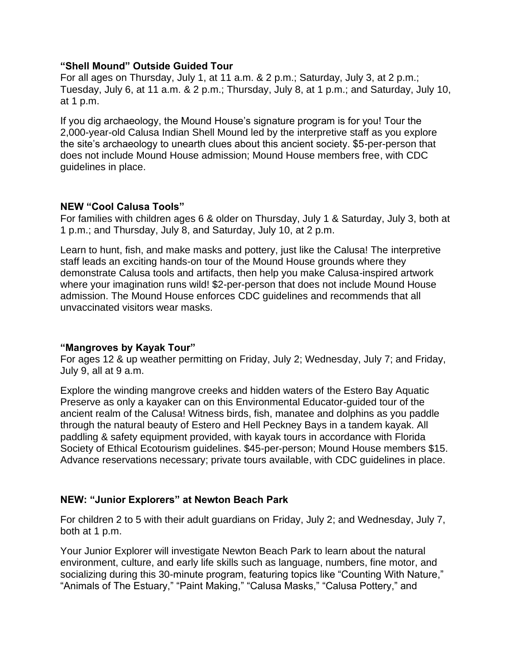#### **"Shell Mound" Outside Guided Tour**

For all ages on Thursday, July 1, at 11 a.m. & 2 p.m.; Saturday, July 3, at 2 p.m.; Tuesday, July 6, at 11 a.m. & 2 p.m.; Thursday, July 8, at 1 p.m.; and Saturday, July 10, at 1 p.m.

If you dig archaeology, the Mound House's signature program is for you! Tour the 2,000-year-old Calusa Indian Shell Mound led by the interpretive staff as you explore the site's archaeology to unearth clues about this ancient society. \$5-per-person that does not include Mound House admission; Mound House members free, with CDC guidelines in place.

## **NEW "Cool Calusa Tools"**

For families with children ages 6 & older on Thursday, July 1 & Saturday, July 3, both at 1 p.m.; and Thursday, July 8, and Saturday, July 10, at 2 p.m.

Learn to hunt, fish, and make masks and pottery, just like the Calusa! The interpretive staff leads an exciting hands-on tour of the Mound House grounds where they demonstrate Calusa tools and artifacts, then help you make Calusa-inspired artwork where your imagination runs wild! \$2-per-person that does not include Mound House admission. The Mound House enforces CDC guidelines and recommends that all unvaccinated visitors wear masks.

## **"Mangroves by Kayak Tour"**

For ages 12 & up weather permitting on Friday, July 2; Wednesday, July 7; and Friday, July 9, all at 9 a.m.

Explore the winding mangrove creeks and hidden waters of the Estero Bay Aquatic Preserve as only a kayaker can on this Environmental Educator-guided tour of the ancient realm of the Calusa! Witness birds, fish, manatee and dolphins as you paddle through the natural beauty of Estero and Hell Peckney Bays in a tandem kayak. All paddling & safety equipment provided, with kayak tours in accordance with Florida Society of Ethical Ecotourism guidelines. \$45-per-person; Mound House members \$15. Advance reservations necessary; private tours available, with CDC guidelines in place.

## **NEW: "Junior Explorers" at Newton Beach Park**

For children 2 to 5 with their adult guardians on Friday, July 2; and Wednesday, July 7, both at 1 p.m.

Your Junior Explorer will investigate Newton Beach Park to learn about the natural environment, culture, and early life skills such as language, numbers, fine motor, and socializing during this 30-minute program, featuring topics like "Counting With Nature," "Animals of The Estuary," "Paint Making," "Calusa Masks," "Calusa Pottery," and